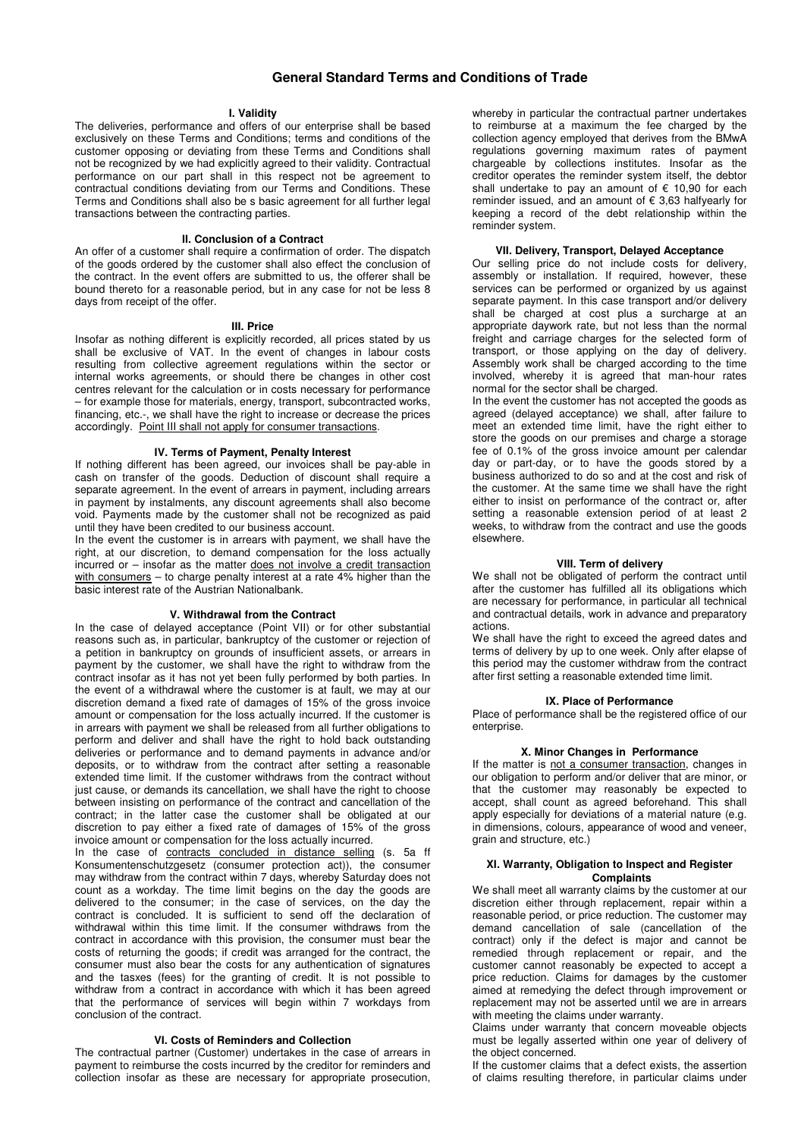# **General Standard Terms and Conditions of Trade**

### **I. Validity**

The deliveries, performance and offers of our enterprise shall be based exclusively on these Terms and Conditions; terms and conditions of the customer opposing or deviating from these Terms and Conditions shall not be recognized by we had explicitly agreed to their validity. Contractual performance on our part shall in this respect not be agreement to contractual conditions deviating from our Terms and Conditions. These Terms and Conditions shall also be s basic agreement for all further legal transactions between the contracting parties.

#### **II. Conclusion of a Contract**

An offer of a customer shall require a confirmation of order. The dispatch of the goods ordered by the customer shall also effect the conclusion of the contract. In the event offers are submitted to us, the offerer shall be bound thereto for a reasonable period, but in any case for not be less 8 days from receipt of the offer.

#### **III. Price**

Insofar as nothing different is explicitly recorded, all prices stated by us shall be exclusive of VAT. In the event of changes in labour costs resulting from collective agreement regulations within the sector or internal works agreements, or should there be changes in other cost centres relevant for the calculation or in costs necessary for performance – for example those for materials, energy, transport, subcontracted works, financing, etc.-, we shall have the right to increase or decrease the prices accordingly. Point III shall not apply for consumer transactions.

# **IV. Terms of Payment, Penalty Interest**

If nothing different has been agreed, our invoices shall be pay-able in cash on transfer of the goods. Deduction of discount shall require a separate agreement. In the event of arrears in payment, including arrears in payment by instalments, any discount agreements shall also become void. Payments made by the customer shall not be recognized as paid until they have been credited to our business account.

In the event the customer is in arrears with payment, we shall have the right, at our discretion, to demand compensation for the loss actually incurred or – insofar as the matter does not involve a credit transaction with consumers – to charge penalty interest at a rate 4% higher than the basic interest rate of the Austrian Nationalbank.

### **V. Withdrawal from the Contract**

In the case of delayed acceptance (Point VII) or for other substantial reasons such as, in particular, bankruptcy of the customer or rejection of a petition in bankruptcy on grounds of insufficient assets, or arrears in payment by the customer, we shall have the right to withdraw from the contract insofar as it has not yet been fully performed by both parties. In the event of a withdrawal where the customer is at fault, we may at our discretion demand a fixed rate of damages of 15% of the gross invoice amount or compensation for the loss actually incurred. If the customer is in arrears with payment we shall be released from all further obligations to perform and deliver and shall have the right to hold back outstanding deliveries or performance and to demand payments in advance and/or deposits, or to withdraw from the contract after setting a reasonable extended time limit. If the customer withdraws from the contract without just cause, or demands its cancellation, we shall have the right to choose between insisting on performance of the contract and cancellation of the contract; in the latter case the customer shall be obligated at our discretion to pay either a fixed rate of damages of 15% of the gross invoice amount or compensation for the loss actually incurred.

In the case of contracts concluded in distance selling (s. 5a ff Konsumentenschutzgesetz (consumer protection act)), the consumer may withdraw from the contract within 7 days, whereby Saturday does not count as a workday. The time limit begins on the day the goods are delivered to the consumer; in the case of services, on the day the contract is concluded. It is sufficient to send off the declaration of withdrawal within this time limit. If the consumer withdraws from the contract in accordance with this provision, the consumer must bear the costs of returning the goods; if credit was arranged for the contract, the consumer must also bear the costs for any authentication of signatures and the tasxes (fees) for the granting of credit. It is not possible to withdraw from a contract in accordance with which it has been agreed that the performance of services will begin within 7 workdays from conclusion of the contract.

# **VI. Costs of Reminders and Collection**

The contractual partner (Customer) undertakes in the case of arrears in payment to reimburse the costs incurred by the creditor for reminders and collection insofar as these are necessary for appropriate prosecution,

whereby in particular the contractual partner undertakes to reimburse at a maximum the fee charged by the collection agency employed that derives from the BMwA regulations governing maximum rates of payment chargeable by collections institutes. Insofar as the creditor operates the reminder system itself, the debtor shall undertake to pay an amount of  $\epsilon$  10,90 for each reminder issued, and an amount of € 3,63 halfyearly for keeping a record of the debt relationship within the reminder system.

## **VII. Delivery, Transport, Delayed Acceptance**

Our selling price do not include costs for delivery, assembly or installation. If required, however, these services can be performed or organized by us against separate payment. In this case transport and/or delivery shall be charged at cost plus a surcharge at an appropriate daywork rate, but not less than the normal freight and carriage charges for the selected form of transport, or those applying on the day of delivery. Assembly work shall be charged according to the time involved, whereby it is agreed that man-hour rates normal for the sector shall be charged.

In the event the customer has not accepted the goods as agreed (delayed acceptance) we shall, after failure to meet an extended time limit, have the right either to store the goods on our premises and charge a storage fee of 0.1% of the gross invoice amount per calendar day or part-day, or to have the goods stored by a business authorized to do so and at the cost and risk of the customer. At the same time we shall have the right either to insist on performance of the contract or, after setting a reasonable extension period of at least 2 weeks, to withdraw from the contract and use the goods elsewhere.

# **VIII. Term of delivery**

We shall not be obligated of perform the contract until after the customer has fulfilled all its obligations which are necessary for performance, in particular all technical and contractual details, work in advance and preparatory actions.

We shall have the right to exceed the agreed dates and terms of delivery by up to one week. Only after elapse of this period may the customer withdraw from the contract after first setting a reasonable extended time limit.

# **IX. Place of Performance**

Place of performance shall be the registered office of our enterprise.

### **X. Minor Changes in Performance**

If the matter is not a consumer transaction, changes in our obligation to perform and/or deliver that are minor, or that the customer may reasonably be expected to accept, shall count as agreed beforehand. This shall apply especially for deviations of a material nature (e.g. in dimensions, colours, appearance of wood and veneer, grain and structure, etc.)

## **XI. Warranty, Obligation to Inspect and Register Complaints**

We shall meet all warranty claims by the customer at our discretion either through replacement, repair within a reasonable period, or price reduction. The customer may demand cancellation of sale (cancellation of the contract) only if the defect is major and cannot be remedied through replacement or repair, and the customer cannot reasonably be expected to accept a price reduction. Claims for damages by the customer aimed at remedying the defect through improvement or replacement may not be asserted until we are in arrears with meeting the claims under warranty.

Claims under warranty that concern moveable objects must be legally asserted within one year of delivery of the object concerned.

If the customer claims that a defect exists, the assertion of claims resulting therefore, in particular claims under